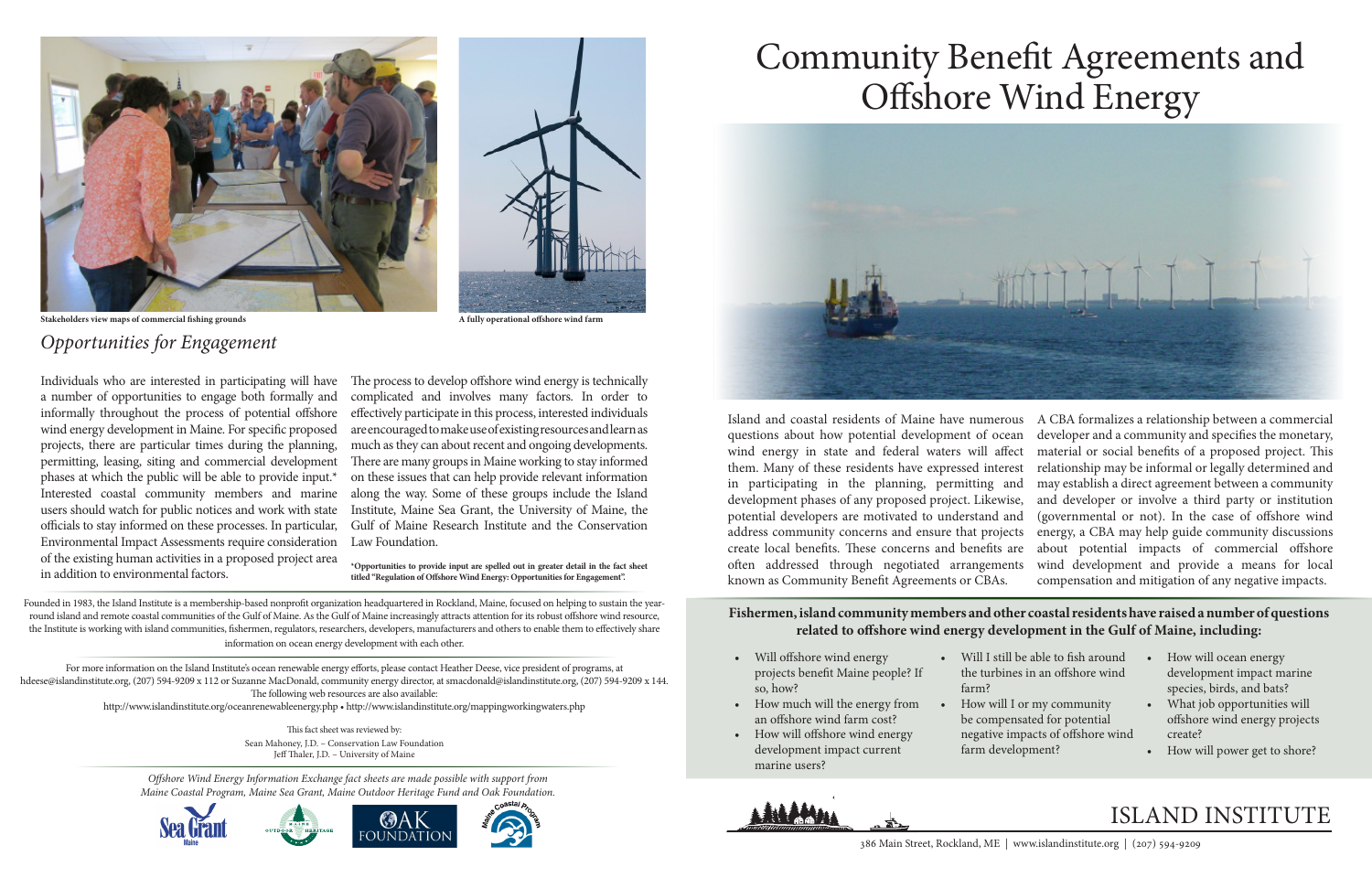# ISLAND INSTITUTE

# Community Benefit Agreements and Offshore Wind Energy



*Offshore Wind Energy Information Exchange fact sheets are made possible with support from Maine Coastal Program, Maine Sea Grant, Maine Outdoor Heritage Fund and Oak Foundation.*









Founded in 1983, the Island Institute is a membership-based nonprofit organization headquartered in Rockland, Maine, focused on helping to sustain the yearround island and remote coastal communities of the Gulf of Maine. As the Gulf of Maine increasingly attracts attention for its robust offshore wind resource, the Institute is working with island communities, fishermen, regulators, researchers, developers, manufacturers and others to enable them to effectively share information on ocean energy development with each other.

For more information on the Island Institute's ocean renewable energy efforts, please contact Heather Deese, vice president of programs, at hdeese@islandinstitute.org, (207) 594-9209 x 112 or Suzanne MacDonald, community energy director, at smacdonald@islandinstitute.org, (207) 594-9209 x 144. The following web resources are also available:

http://www.islandinstitute.org/oceanrenewableenergy.php • http://www.islandinstitute.org/mappingworkingwaters.php

This fact sheet was reviewed by: Sean Mahoney, J.D. – Conservation Law Foundation Jeff Thaler, J.D. – University of Maine

Island and coastal residents of Maine have numerous questions about how potential development of ocean wind energy in state and federal waters will affect them. Many of these residents have expressed interest in participating in the planning, permitting and development phases of any proposed project. Likewise, potential developers are motivated to understand and address community concerns and ensure that projects create local benefits. These concerns and benefits are often addressed through negotiated arrangements known as Community Benefit Agreements or CBAs. A CBA formalizes a relationship between a commercial developer and a community and specifies the monetary, material or social benefits of a proposed project. This relationship may be informal or legally determined and may establish a direct agreement between a community and developer or involve a third party or institution (governmental or not). In the case of offshore wind energy, a CBA may help guide community discussions about potential impacts of commercial offshore wind development and provide a means for local compensation and mitigation of any negative impacts.

#### **Fishermen, island community members and other coastal residents have raised a number of questions related to offshore wind energy development in the Gulf of Maine, including:**

- Will offshore wind energy projects benefit Maine people? If so, how?
- How much will the energy from an offshore wind farm cost?
- How will offshore wind energy development impact current marine users?



farm?

- Will I still be able to fish around the turbines in an offshore wind
	- How will I or my community be compensated for potential negative impacts of offshore wind farm development?
- How will ocean energy development impact marine species, birds, and bats?
- What job opportunities will offshore wind energy projects create?
- How will power get to shore?

## *Opportunities for Engagement*

Individuals who are interested in participating will have a number of opportunities to engage both formally and informally throughout the process of potential offshore wind energy development in Maine. For specific proposed projects, there are particular times during the planning, permitting, leasing, siting and commercial development phases at which the public will be able to provide input.\* Interested coastal community members and marine users should watch for public notices and work with state officials to stay informed on these processes. In particular, Environmental Impact Assessments require consideration of the existing human activities in a proposed project area in addition to environmental factors.

The process to develop offshore wind energy is technically complicated and involves many factors. In order to effectively participate in this process, interested individuals are encouraged to make use of existing resources and learn as much as they can about recent and ongoing developments. There are many groups in Maine working to stay informed on these issues that can help provide relevant information along the way. Some of these groups include the Island Institute, Maine Sea Grant, the University of Maine, the Gulf of Maine Research Institute and the Conservation Law Foundation.

**\*Opportunities to provide input are spelled out in greater detail in the fact sheet titled "Regulation of Offshore Wind Energy: Opportunities for Engagement".**



**Stakeholders view maps of commercial fishing grounds A fully operational offshore wind farm**